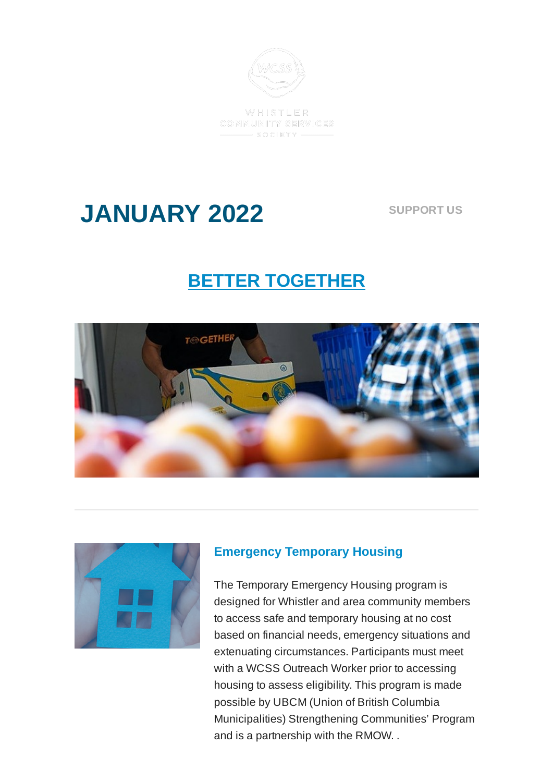

WHISTLER COMMUNITY SERVICES  $-$  SOCIETY -

# **JANUARY 2022**

**[SUPPORT](https://mywcss.org/fundraiser) US**

## **BETTER TOGETHER**





### **Emergency Temporary Housing**

The Temporary Emergency Housing program is designed for Whistler and area community members to access safe and temporary housing at no cost based on financial needs, emergency situations and extenuating circumstances. Participants must meet with a WCSS Outreach Worker prior to accessing housing to assess eligibility. This program is made possible by UBCM (Union of British Columbia Municipalities) Strengthening Communities' Program and is a partnership with the RMOW. .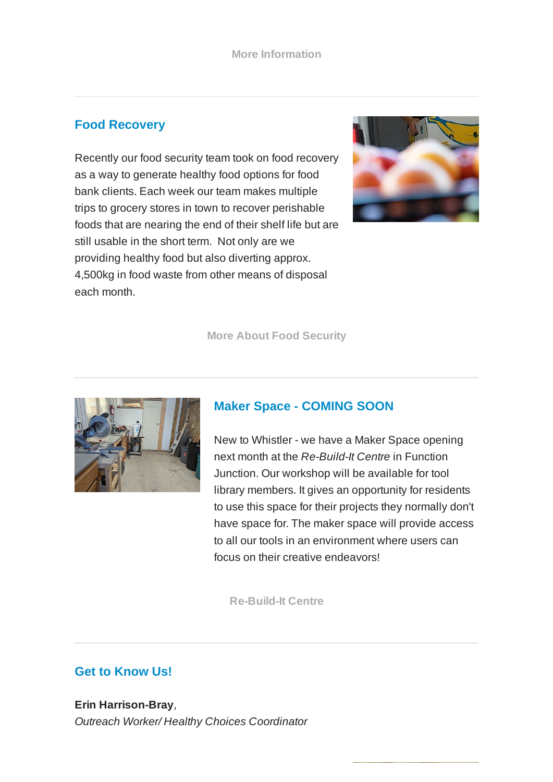### **Food Recovery**

Recently our food security team took on food recovery as a way to generate healthy food options for food bank clients. Each week our team makes multiple trips to grocery stores in town to recover perishable foods that are nearing the end of their shelf life but are still usable in the short term. Not only are we providing healthy food but also diverting approx. 4,500kg in food waste from other means of disposal each month.



**More About Food [Security](https://mywcss.org/food-security)**



#### **Maker Space - COMING SOON**

New to Whistler - we have a Maker Space opening next month at the *Re-Build-It Centre* in Function Junction. Our workshop will be available for tool library members. It gives an opportunity for residents to use this space for their projects they normally don't have space for. The maker space will provide access to all our tools in an environment where users can focus on their creative endeavors!

**[Re-Build-It](https://mywcss.org/social-enterprises/re-build-it-centre) Centre**

### **Get to Know Us!**

**Erin Harrison-Bray**, *Outreach Worker/ Healthy Choices Coordinator*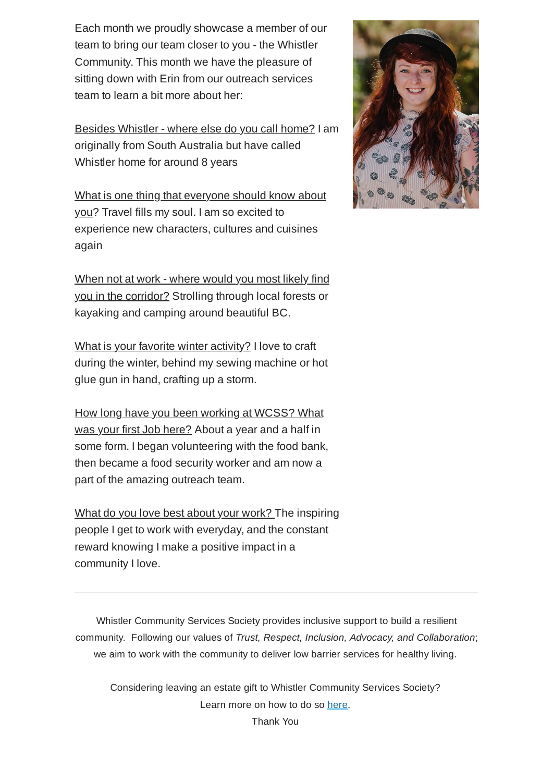Each month we proudly showcase a member of our team to bring our team closer to you - the Whistler Community. This month we have the pleasure of sitting down with Erin from our outreach services team to learn a bit more about her:

Besides Whistler - where else do you call home? I am originally from South Australia but have called Whistler home for around 8 years

What is one thing that everyone should know about you? Travel fills my soul. I am so excited to experience new characters, cultures and cuisines again

When not at work - where would you most likely find you in the corridor? Strolling through local forests or kayaking and camping around beautiful BC.

What is your favorite winter activity? I love to craft during the winter, behind my sewing machine or hot glue gun in hand, crafting up a storm.

How long have you been working at WCSS? What was your first Job here? About a year and a half in some form. I began volunteering with the food bank, then became a food security worker and am now a part of the amazing outreach team.

What do you love best about your work? The inspiring people I get to work with everyday, and the constant reward knowing I make a positive impact in a community I love.

Whistler Community Services Society provides inclusive support to build a resilient community. Following our values of *Trust, Respect, Inclusion, Advocacy, and Collaboration*; we aim to work with the community to deliver low barrier services for healthy living.

Considering leaving an estate gift to Whistler Community Services Society? Learn more on how to do so [here](https://mywcss.org/wp-content/uploads/2021/03/Instructions-for-Bequests-in-Will-1.pdf).

Thank You